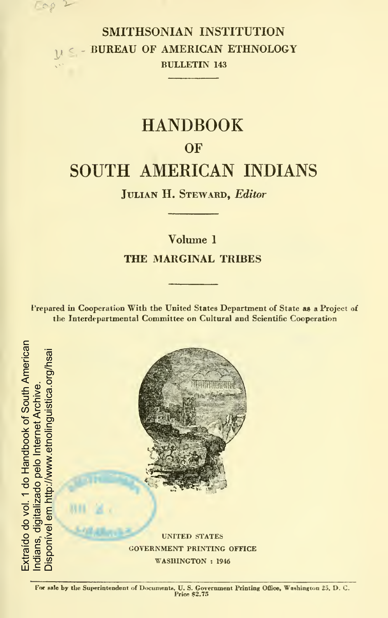SMITHSONIAN INSTITUTION BUREAU OF AMERICAN ETHNOLOGY BULLETIN <sup>143</sup>

# HANDBOOK **OF** SOUTH AMERICAN INDIANS

JULIAN H. STEWARD, Editor-

# Volume <sup>1</sup> THE MARGINAL TRIBES

Prepared in Cooperation With the United States Department of State as a Project of the Interdepartmental Committee on Cultural and Scientific Cooperation

Extraído do vol. 1 do Handbook of South American Extraído do vol. 1 do Handbook of South American Disponível em http://www.etnolinguistica.org/hsaisponível em http://www.etnolinguistica.org/hsai Indians, digitalizado pelo Internet Archive. digitalizado pelo Internet Archive ndians.

c^e

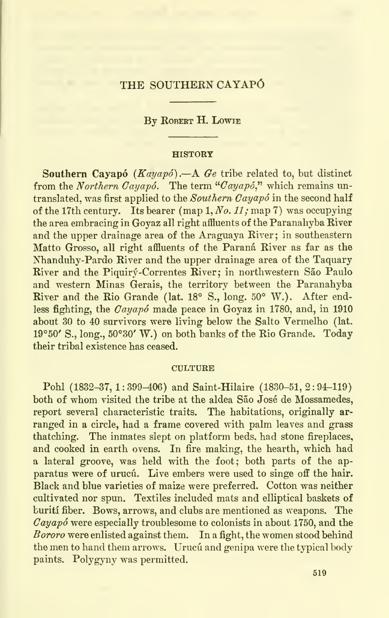# THE SOUTHERN CAYAPÓ

## By ROBERT H. LOWIE

### **HISTORY**

Southern Cayapó  $(Kayapó)$ . - A Ge tribe related to, but distinct from the Northern Cayapó. The term "Cayapó," which remains untranslated, was first applied to the Southern  $Cayap\acute{o}$  in the second half of the 17th century. Its bearer (map 1, No. 11; map 7) was occupying the area embracing in Goyaz all right affluents of the Paranahyba River and the upper drainage area of the Araguaya River: in southeastern Matto Grosso, all right affluents of the Parana River as far as the Nhanduhy-Pardo River and the upper drainage area of the Taquary River and the Piquirý-Correntes River; in northwestern São Paulo and western Minas Gerais, the territory between the Paranahyba River and the Rio Grande (lat. 18° S., long. 50° W.). After endless fighting, the Cayapó made peace in Govaz in 1780, and, in 1910 about 30 to 40 survivors were living below the Salto Vermelho (lat. 19°50' S., long., 50°30' W.) on both banks of the Rio Grande. Today their tribal existence has ceased.

### **CULTURE**

Pohl (1832-37, 1:399-406) and Saint-Hilaire (1830-51, 2: 94-119) both of whom visited the tribe at the aldea São José de Mossamedes, report several characteristic traits. The habitations, originally ar ranged in a circle, had a frame covered with palm leaves and grass thatching. The inmates slept on platform beds, had stone fireplaces. and cooked in earth ovens. In fire making, the hearth, which had a lateral groove, was held with the foot; both parts of the ap paratus were of urucu. Live embers were used to singe off the hair. Black and blue varieties of maize were preferred. Cotton was neither cultivated nor spun. Textiles included mats and elliptical baskets of buriti fiber. Bows, arrows, and clubs are mentioned as weapons. The  $Cayapo$  were especially troublesome to colonists in about 1750, and the Bororo were enlisted against them. In <sup>a</sup> fight, the women stood behind the men to hand them arrows. Urucu and genipa were the typical body paints. Polygyny was permitted.